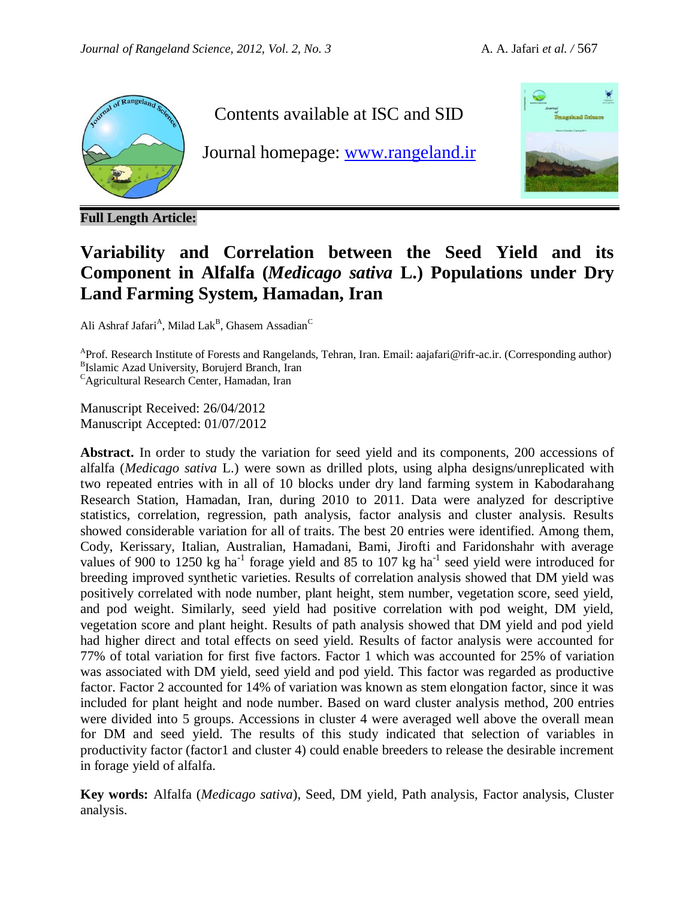

**Full Length Article:**

Contents available at ISC and SID

Journal homepage: [www.rangeland.ir](http://www.rangeland.ir/)



# **Variability and Correlation between the Seed Yield and its Component in Alfalfa (***Medicago sativa* **L.) Populations under Dry Land Farming System, Hamadan, Iran**

Ali Ashraf Jafari<sup>A</sup>, Milad Lak<sup>B</sup>, Ghasem Assadian<sup>C</sup>

<sup>A</sup>Prof. Research Institute of Forests and Rangelands, Tehran, Iran. Email: aajafari@rifr-ac.ir. (Corresponding author) <sup>B</sup>Islamic Azad University, Borujerd Branch, Iran

<sup>C</sup>Agricultural Research Center, Hamadan, Iran

Manuscript Received: 26/04/2012 Manuscript Accepted: 01/07/2012

**Abstract.** In order to study the variation for seed yield and its components, 200 accessions of alfalfa (*Medicago sativa* L.) were sown as drilled plots, using alpha designs/unreplicated with two repeated entries with in all of 10 blocks under dry land farming system in Kabodarahang Research Station, Hamadan, Iran, during 2010 to 2011. Data were analyzed for descriptive statistics, correlation, regression, path analysis, factor analysis and cluster analysis. Results showed considerable variation for all of traits. The best 20 entries were identified. Among them, Cody, Kerissary, Italian, Australian, Hamadani, Bami, Jirofti and Faridonshahr with average values of 900 to 1250 kg ha<sup>-1</sup> forage yield and 85 to 107 kg ha<sup>-1</sup> seed yield were introduced for breeding improved synthetic varieties. Results of correlation analysis showed that DM yield was positively correlated with node number, plant height, stem number, vegetation score, seed yield, and pod weight. Similarly, seed yield had positive correlation with pod weight, DM yield, vegetation score and plant height. Results of path analysis showed that DM yield and pod yield had higher direct and total effects on seed yield. Results of factor analysis were accounted for 77% of total variation for first five factors. Factor 1 which was accounted for 25% of variation was associated with DM yield, seed yield and pod yield. This factor was regarded as productive factor. Factor 2 accounted for 14% of variation was known as stem elongation factor, since it was included for plant height and node number. Based on ward cluster analysis method, 200 entries were divided into 5 groups. Accessions in cluster 4 were averaged well above the overall mean for DM and seed yield. The results of this study indicated that selection of variables in productivity factor (factor1 and cluster 4) could enable breeders to release the desirable increment in forage yield of alfalfa.

**Key words:** Alfalfa (*Medicago sativa*), Seed, DM yield, Path analysis, Factor analysis, Cluster analysis.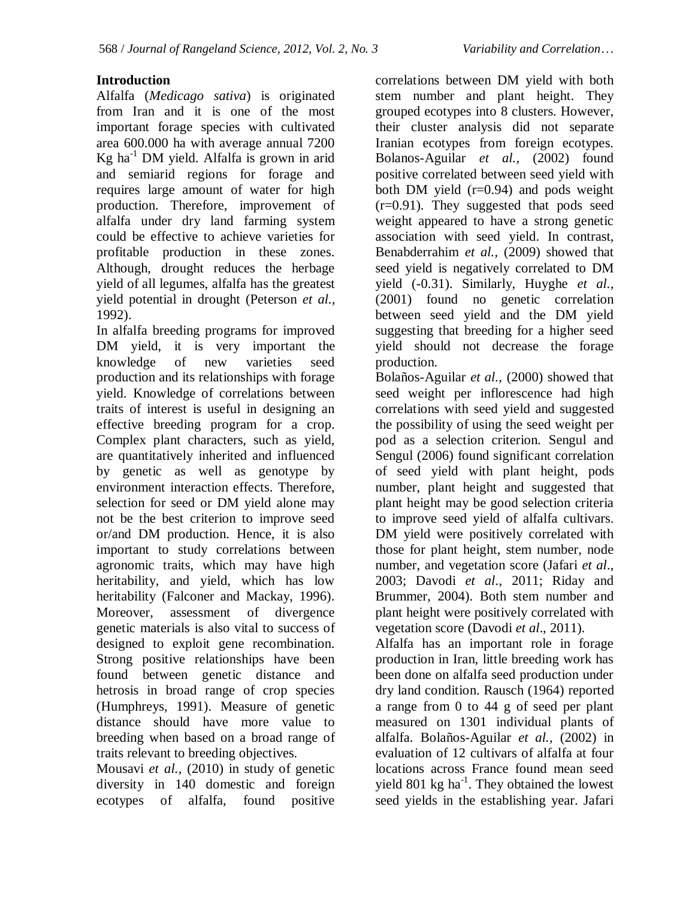#### **Introduction**

Alfalfa (*Medicago sativa*) is originated from Iran and it is one of the most important forage species with cultivated area 600.000 ha with average annual 7200  $Kg$  ha<sup>-1</sup> DM yield. Alfalfa is grown in arid and semiarid regions for forage and requires large amount of water for high production. Therefore, improvement of alfalfa under dry land farming system could be effective to achieve varieties for profitable production in these zones. Although, drought reduces the herbage yield of all legumes, alfalfa has the greatest yield potential in drought (Peterson *et al.,* 1992).

In alfalfa breeding programs for improved DM yield, it is very important the knowledge of new varieties seed production and its relationships with forage yield. Knowledge of correlations between traits of interest is useful in designing an effective breeding program for a crop. Complex plant characters, such as yield, are quantitatively inherited and influenced by genetic as well as genotype by environment interaction effects. Therefore, selection for seed or DM yield alone may not be the best criterion to improve seed or/and DM production. Hence, it is also important to study correlations between agronomic traits, which may have high heritability, and yield, which has low heritability (Falconer and Mackay, 1996). Moreover, assessment of divergence genetic materials is also vital to success of designed to exploit gene recombination. Strong positive relationships have been found between genetic distance and hetrosis in broad range of crop species (Humphreys, 1991). Measure of genetic distance should have more value to breeding when based on a broad range of traits relevant to breeding objectives.

Mousavi *et al.,* (2010) in study of genetic diversity in 140 domestic and foreign ecotypes of alfalfa, found positive correlations between DM yield with both stem number and plant height. They grouped ecotypes into 8 clusters. However, their cluster analysis did not separate Iranian ecotypes from foreign ecotypes. Bolanos-Aguilar *et al.,* (2002) found positive correlated between seed yield with both DM yield (r=0.94) and pods weight (r=0.91). They suggested that pods seed weight appeared to have a strong genetic association with seed yield. In contrast, Benabderrahim *et al.,* (2009) showed that seed yield is negatively correlated to DM yield (-0.31). Similarly, Huyghe *et al.,* (2001) found no genetic correlation between seed yield and the DM yield suggesting that breeding for a higher seed yield should not decrease the forage production.

Bolaños-Aguilar *et al.,* (2000) showed that seed weight per inflorescence had high correlations with seed yield and suggested the possibility of using the seed weight per pod as a selection criterion. Sengul and [Sengul](http://ascidatabase.com/author.php?author=Meryem%20Sengul&last=) (2006) found significant correlation of [seed yield](http://www.scialert.net/asci/result.php?searchin=Keywords&cat=&ascicat=ALL&Submit=Search&keyword=seed+yield) with plant height, pods number, plant height and suggested that plant height may be good selection criteria to improve [seed yield](http://www.scialert.net/asci/result.php?searchin=Keywords&cat=&ascicat=ALL&Submit=Search&keyword=seed+yield) of alfalfa cultivars. DM yield were positively correlated with those for plant height, stem number, node number, and vegetation score (Jafari *et al*., 2003; Davodi *et al*., 2011; Riday and Brummer, 2004). Both stem number and plant height were positively correlated with vegetation score (Davodi *et al*., 2011).

Alfalfa has an important role in forage production in Iran, little breeding work has been done on alfalfa seed production under dry land condition. Rausch (1964) reported a range from 0 to 44 g of seed per plant measured on 1301 individual plants of alfalfa. Bolaños-Aguilar *et al.,* (2002) in evaluation of 12 cultivars of alfalfa at four locations across France found mean seed yield 801 kg ha<sup>-1</sup>. They obtained the lowest seed yields in the establishing year. Jafari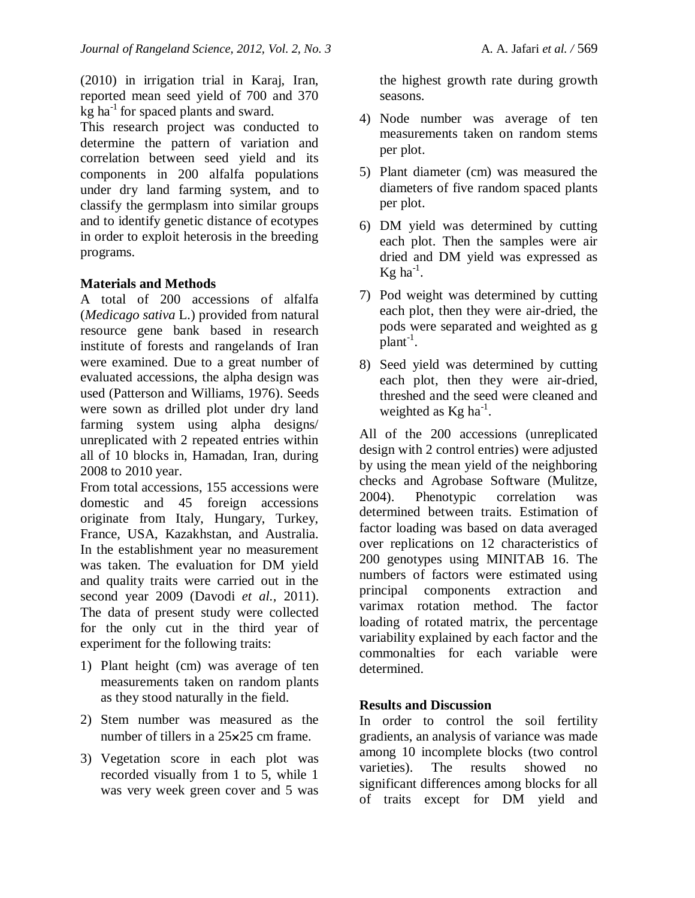(2010) in irrigation trial in Karaj, Iran, reported mean seed yield of 700 and 370  $kg$  ha<sup>-1</sup> for spaced plants and sward.

This research project was conducted to determine the pattern of variation and correlation between seed yield and its components in 200 alfalfa populations under dry land farming system, and to classify the germplasm into similar groups and to identify genetic distance of ecotypes in order to exploit heterosis in the breeding programs.

## **Materials and Methods**

A total of 200 accessions of alfalfa (*Medicago sativa* L.) provided from natural resource gene bank based in research institute of forests and rangelands of Iran were examined. Due to a great number of evaluated accessions, the alpha design was used (Patterson and Williams, 1976). Seeds were sown as drilled plot under dry land farming system using alpha designs/ unreplicated with 2 repeated entries within all of 10 blocks in, Hamadan, Iran, during 2008 to 2010 year.

From total accessions, 155 accessions were domestic and 45 foreign accessions originate from Italy, Hungary, Turkey, France, USA, Kazakhstan, and Australia. In the establishment year no measurement was taken. The evaluation for DM yield and quality traits were carried out in the second year 2009 (Davodi *et al.,* 2011). The data of present study were collected for the only cut in the third year of experiment for the following traits:

- 1) Plant height (cm) was average of ten measurements taken on random plants as they stood naturally in the field.
- 2) Stem number was measured as the number of tillers in a 25×25 cm frame.
- 3) Vegetation score in each plot was recorded visually from 1 to 5, while 1 was very week green cover and 5 was

the highest growth rate during growth seasons.

- 4) Node number was average of ten measurements taken on random stems per plot.
- 5) Plant diameter (cm) was measured the diameters of five random spaced plants per plot.
- 6) DM yield was determined by cutting each plot. Then the samples were air dried and DM yield was expressed as Kg ha $^{-1}$ .
- 7) Pod weight was determined by cutting each plot, then they were air-dried, the pods were separated and weighted as g  $\overline{p}$ lant<sup>-1</sup>.
- 8) Seed yield was determined by cutting each plot, then they were air-dried, threshed and the seed were cleaned and weighted as  $Kg$  ha<sup>-1</sup>.

All of the 200 accessions (unreplicated design with 2 control entries) were adjusted by using the mean yield of the neighboring checks and Agrobase Software (Mulitze, 2004). Phenotypic correlation was determined between traits. Estimation of factor loading was based on data averaged over replications on 12 characteristics of 200 genotypes using MINITAB 16. The numbers of factors were estimated using principal components extraction and varimax rotation method. The factor loading of rotated matrix, the percentage variability explained by each factor and the commonalties for each variable were determined.

## **Results and Discussion**

In order to control the soil fertility gradients, an analysis of variance was made among 10 incomplete blocks (two control varieties). The results showed no significant differences among blocks for all of traits except for DM yield and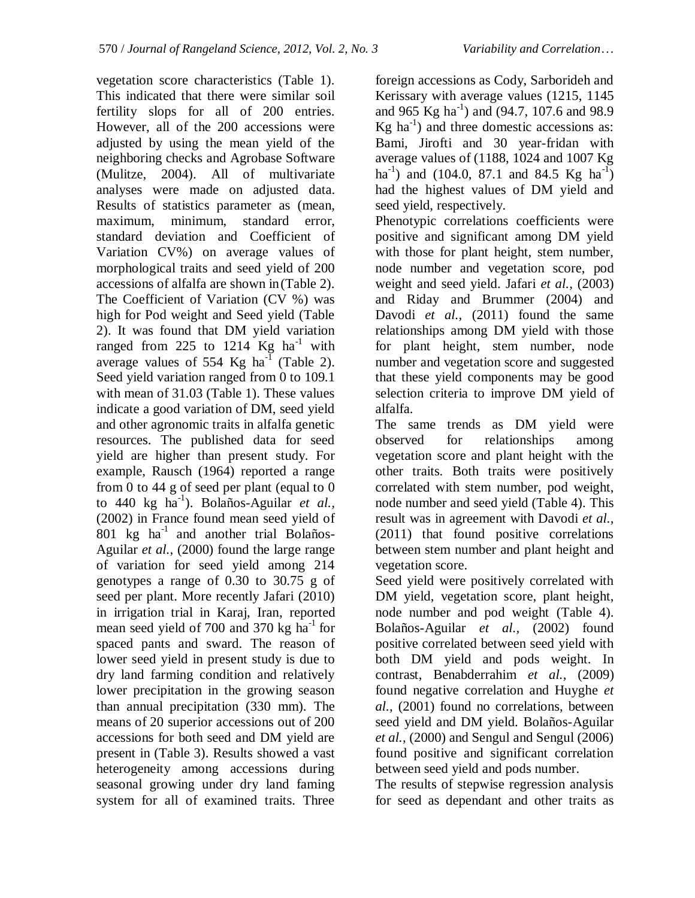vegetation score characteristics (Table 1). This indicated that there were similar soil fertility slops for all of 200 entries. However, all of the 200 accessions were adjusted by using the mean yield of the neighboring checks and Agrobase Software (Mulitze, 2004). All of multivariate analyses were made on adjusted data. Results of statistics parameter as (mean, maximum, minimum, standard error, standard deviation and Coefficient of Variation CV%) on average values of morphological traits and seed yield of 200 accessions of alfalfa are shown in(Table 2). The Coefficient of Variation (CV %) was high for Pod weight and Seed yield (Table 2). It was found that DM yield variation ranged from 225 to 1214  $Kg$  ha<sup>-1</sup> with average values of 554 Kg ha<sup>-1</sup> (Table 2). Seed yield variation ranged from 0 to 109.1 with mean of 31.03 (Table 1). These values indicate a good variation of DM, seed yield and other agronomic traits in alfalfa genetic resources. The published data for seed yield are higher than present study. For example, Rausch (1964) reported a range from 0 to 44 g of seed per plant (equal to 0 to 440 kg ha-1 ). Bolaños-Aguilar *et al.,* (2002) in France found mean seed yield of 801 kg ha-1 and another trial Bolaños-Aguilar *et al.,* (2000) found the large range of variation for seed yield among 214 genotypes a range of 0.30 to 30.75 g of seed per plant. More recently Jafari (2010) in irrigation trial in Karaj, Iran, reported mean seed yield of 700 and 370 kg ha<sup>-1</sup> for spaced pants and sward. The reason of lower seed yield in present study is due to dry land farming condition and relatively lower precipitation in the growing season than annual precipitation (330 mm). The means of 20 superior accessions out of 200 accessions for both seed and DM yield are present in (Table 3). Results showed a vast heterogeneity among accessions during seasonal growing under dry land faming system for all of examined traits. Three

foreign accessions as Cody, Sarborideh and Kerissary with average values (1215, 1145 and 965 Kg ha<sup>-1</sup>) and (94.7, 107.6 and 98.9  $Kg$  ha<sup>-1</sup>) and three domestic accessions as: Bami, Jirofti and 30 year-fridan with average values of (1188, 1024 and 1007 Kg ha<sup>-1</sup>) and (104.0, 87.1 and 84.5 Kg ha<sup>-1</sup>) had the highest values of DM yield and seed yield, respectively.

Phenotypic correlations coefficients were positive and significant among DM yield with those for plant height, stem number, node number and vegetation score, pod weight and seed yield. Jafari *et al.,* (2003) and Riday and Brummer (2004) and Davodi *et al.*, (2011) found the same relationships among DM yield with those for plant height, stem number, node number and vegetation score and suggested that these yield components may be good selection criteria to improve DM yield of alfalfa.

The same trends as DM yield were observed for relationships among vegetation score and plant height with the other traits. Both traits were positively correlated with stem number, pod weight, node number and seed yield (Table 4). This result was in agreement with Davodi *et al.,* (2011) that found positive correlations between stem number and plant height and vegetation score.

Seed yield were positively correlated with DM yield, vegetation score, plant height, node number and pod weight (Table 4). Bolaños-Aguilar *et al.,* (2002) found positive correlated between seed yield with both DM yield and pods weight. In contrast, Benabderrahim *et al.,* (2009) found negative correlation and Huyghe *et al.,* (2001) found no correlations, between seed yield and DM yield. Bolaños-Aguilar *et al.,* (2000) and [Sengul a](http://ascidatabase.com/author.php?author=Suleyman%20Sengul&last=)nd [Sengul](http://ascidatabase.com/author.php?author=Meryem%20Sengul&last=) (2006) found positive and significant correlation between [seed yield](http://www.scialert.net/asci/result.php?searchin=Keywords&cat=&ascicat=ALL&Submit=Search&keyword=seed+yield) and pods number.

The results of stepwise regression analysis for seed as dependant and other traits as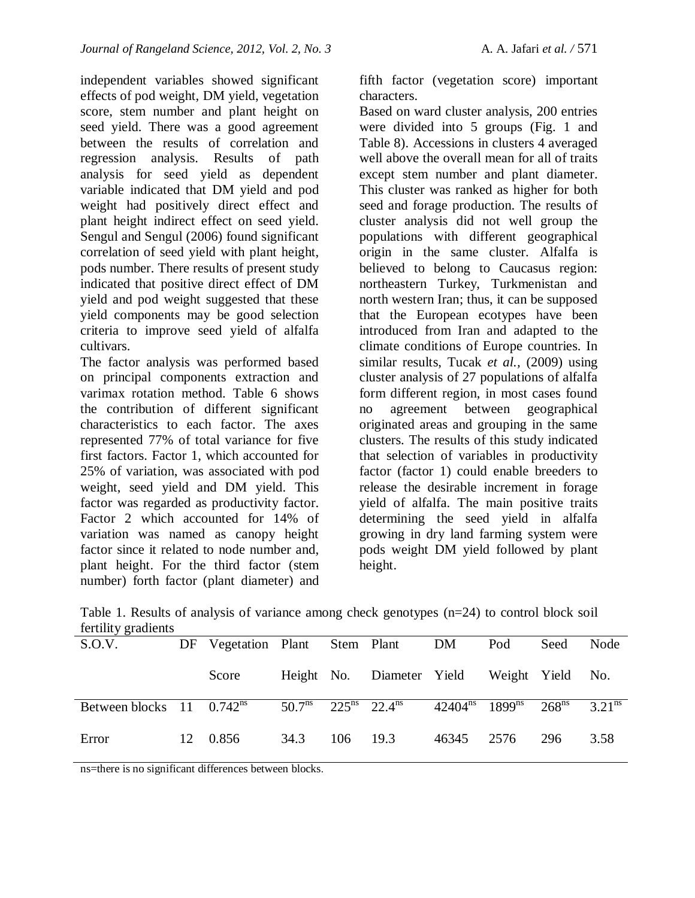independent variables showed significant effects of pod weight, DM yield, vegetation score, stem number and plant height on seed yield. There was a good agreement between the results of correlation and regression analysis. Results of path analysis for seed yield as dependent variable indicated that DM yield and pod weight had positively direct effect and plant height indirect effect on seed yield. [Sengul a](http://ascidatabase.com/author.php?author=Suleyman%20Sengul&last=)nd [Sengul](http://ascidatabase.com/author.php?author=Meryem%20Sengul&last=) (2006) found significant correlation of [seed yield](http://www.scialert.net/asci/result.php?searchin=Keywords&cat=&ascicat=ALL&Submit=Search&keyword=seed+yield) with plant height, pods number. There results of present study indicated that positive direct effect of DM yield and pod weight suggested that these [yield components](http://www.scialert.net/asci/result.php?searchin=Keywords&cat=&ascicat=ALL&Submit=Search&keyword=yield+components) may be good selection criteria to improve [seed yield](http://www.scialert.net/asci/result.php?searchin=Keywords&cat=&ascicat=ALL&Submit=Search&keyword=seed+yield) of alfalfa cultivars.

The factor analysis was performed based on principal components extraction and varimax rotation method. Table 6 shows the contribution of different significant characteristics to each factor. The axes represented 77% of total variance for five first factors. Factor 1, which accounted for 25% of variation, was associated with pod weight, seed yield and DM yield. This factor was regarded as productivity factor. Factor 2 which accounted for 14% of variation was named as canopy height factor since it related to node number and, plant height. For the third factor (stem number) forth factor (plant diameter) and fifth factor (vegetation score) important characters.

Based on ward cluster analysis, 200 entries were divided into 5 groups (Fig. 1 and Table 8). Accessions in clusters 4 averaged well above the overall mean for all of traits except stem number and plant diameter. This cluster was ranked as higher for both seed and forage production. The results of cluster analysis did not well group the populations with different geographical origin in the same cluster. Alfalfa is believed to belong to Caucasus region: northeastern Turkey, Turkmenistan and north western Iran; thus, it can be supposed that the European ecotypes have been introduced from Iran and adapted to the climate conditions of Europe countries. In similar results, Tucak *et al.,* (2009) using cluster analysis of 27 populations of alfalfa form different region, in most cases found no agreement between geographical originated areas and grouping in the same clusters. The results of this study indicated that selection of variables in productivity factor (factor 1) could enable breeders to release the desirable increment in forage yield of alfalfa. The main positive traits determining the seed yield in alfalfa growing in dry land farming system were pods weight DM yield followed by plant height.

|                     | Table 1. Results of analysis of variance among check genotypes $(n=24)$ to control block soil |  |  |  |
|---------------------|-----------------------------------------------------------------------------------------------|--|--|--|
| fertility gradients |                                                                                               |  |  |  |

| - 700                                       |                                   |      |          |                                                                |            |     |      |      |
|---------------------------------------------|-----------------------------------|------|----------|----------------------------------------------------------------|------------|-----|------|------|
| S.O.V.                                      | DF Vegetation Plant Stem Plant DM |      |          |                                                                |            | Pod | Seed | Node |
|                                             | Score                             |      |          | Height No. Diameter Yield Weight Yield No.                     |            |     |      |      |
| Between blocks $11 \quad 0.742^{\text{ns}}$ |                                   |      |          | $50.7ns$ $22.5ns$ $22.4ns$ $42404ns$ $1899ns$ $268ns$ $3.21ns$ |            |     |      |      |
| Error                                       | 12 0.856                          | 34.3 | 106 19.3 |                                                                | 46345 2576 |     | 296  | 3.58 |

ns=there is no significant differences between blocks.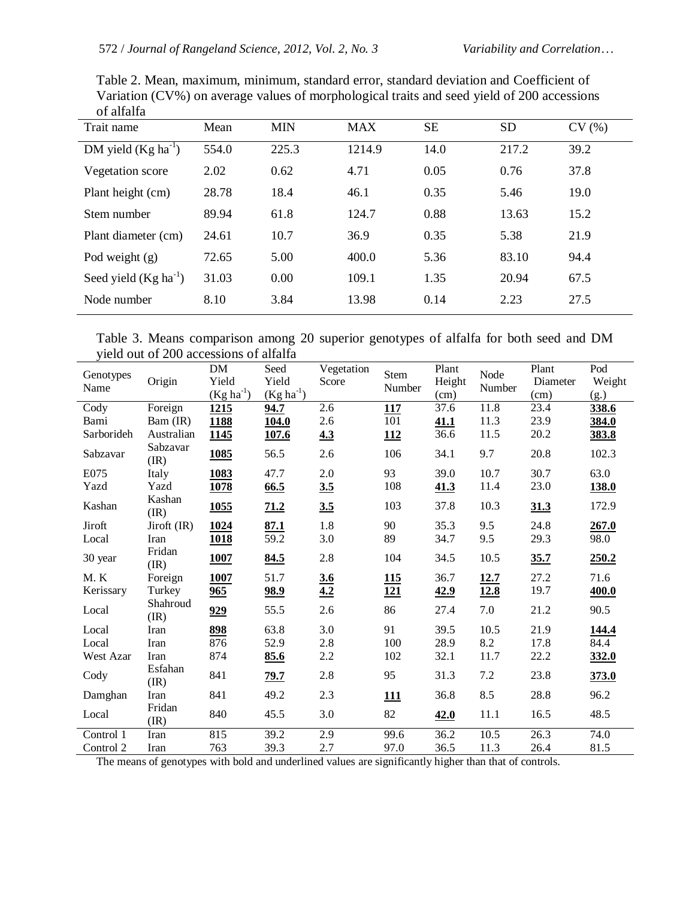| от апапа<br>Trait name    | Mean  | <b>MIN</b> | MAX    | <b>SE</b> | SD    | CV(%) |
|---------------------------|-------|------------|--------|-----------|-------|-------|
| DM yield $(Kg ha^{-1})$   | 554.0 | 225.3      | 1214.9 | 14.0      | 217.2 | 39.2  |
| Vegetation score          | 2.02  | 0.62       | 4.71   | 0.05      | 0.76  | 37.8  |
| Plant height (cm)         | 28.78 | 18.4       | 46.1   | 0.35      | 5.46  | 19.0  |
| Stem number               | 89.94 | 61.8       | 124.7  | 0.88      | 13.63 | 15.2  |
| Plant diameter (cm)       | 24.61 | 10.7       | 36.9   | 0.35      | 5.38  | 21.9  |
| Pod weight $(g)$          | 72.65 | 5.00       | 400.0  | 5.36      | 83.10 | 94.4  |
| Seed yield $(Kg ha^{-1})$ | 31.03 | 0.00       | 109.1  | 1.35      | 20.94 | 67.5  |
| Node number               | 8.10  | 3.84       | 13.98  | 0.14      | 2.23  | 27.5  |

Table 2. Mean, maximum, minimum, standard error, standard deviation and Coefficient of Variation (CV%) on average values of morphological traits and seed yield of 200 accessions of alfalfa

| Table 3. Means comparison among 20 superior genotypes of alfalfa for both seed and DM |  |  |  |  |  |
|---------------------------------------------------------------------------------------|--|--|--|--|--|
| yield out of 200 accessions of alfalfa                                                |  |  |  |  |  |

| Genotypes<br>Name | Origin           | ${\rm DM}$<br>Yield<br>$(Kg ha^{-1})$ | Seed<br>Yield<br>$(Kg ha^{-1})$ | Vegetation<br>Score | Stem<br>Number | Plant<br>Height<br>(cm) | Node<br>Number | Plant<br>Diameter<br>(cm) | Pod<br>Weight<br>(g.) |
|-------------------|------------------|---------------------------------------|---------------------------------|---------------------|----------------|-------------------------|----------------|---------------------------|-----------------------|
| Cody              | Foreign          | 1215                                  | 94.7                            | 2.6                 | 117            | 37.6                    | 11.8           | 23.4                      | 338.6                 |
| Bami              | Bam (IR)         | 1188                                  | <b>104.0</b>                    | 2.6                 | 101            | 41.1                    | 11.3           | 23.9                      | 384.0                 |
| Sarborideh        | Australian       | 1145                                  | <u>107.6</u>                    | 4.3                 | <u>112</u>     | 36.6                    | 11.5           | 20.2                      | 383.8                 |
| Sabzavar          | Sabzavar<br>(IR) | 1085                                  | 56.5                            | 2.6                 | 106            | 34.1                    | 9.7            | 20.8                      | 102.3                 |
| E075              | Italy            | 1083                                  | 47.7                            | 2.0                 | 93             | 39.0                    | 10.7           | 30.7                      | 63.0                  |
| Yazd              | Yazd             | 1078                                  | 66.5                            | 3.5                 | 108            | 41.3                    | 11.4           | 23.0                      | <b>138.0</b>          |
| Kashan            | Kashan<br>(IR)   | 1055                                  | 71.2                            | 3.5                 | 103            | 37.8                    | 10.3           | 31.3                      | 172.9                 |
| Jiroft            | Jiroft (IR)      | <u>1024</u>                           | 87.1                            | 1.8                 | 90             | 35.3                    | 9.5            | 24.8                      | 267.0                 |
| Local             | Iran             | <b>1018</b>                           | 59.2                            | 3.0                 | 89             | 34.7                    | 9.5            | 29.3                      | 98.0                  |
| 30 year           | Fridan<br>(IR)   | 1007                                  | 84.5                            | 2.8                 | 104            | 34.5                    | 10.5           | 35.7                      | 250.2                 |
| M.K               | Foreign          | 1007                                  | 51.7                            | 3.6                 | <b>115</b>     | 36.7                    | 12.7           | 27.2                      | 71.6                  |
| Kerissary         | Turkey           | 965                                   | <u>98.9</u>                     | 4.2                 | 121            | 42.9                    | 12.8           | 19.7                      | 400.0                 |
| Local             | Shahroud<br>(IR) | 929                                   | 55.5                            | 2.6                 | 86             | 27.4                    | 7.0            | 21.2                      | 90.5                  |
| Local             | Iran             | 898                                   | 63.8                            | 3.0                 | 91             | 39.5                    | 10.5           | 21.9                      | 144.4                 |
| Local             | Iran             | 876                                   | 52.9                            | 2.8                 | 100            | 28.9                    | 8.2            | 17.8                      | 84.4                  |
| West Azar         | Iran             | 874                                   | 85.6                            | $2.2\,$             | 102            | 32.1                    | 11.7           | 22.2                      | 332.0                 |
| Cody              | Esfahan<br>(IR)  | 841                                   | 79.7                            | 2.8                 | 95             | 31.3                    | 7.2            | 23.8                      | 373.0                 |
| Damghan           | Iran             | 841                                   | 49.2                            | 2.3                 | <u>111</u>     | 36.8                    | 8.5            | 28.8                      | 96.2                  |
| Local             | Fridan<br>(IR)   | 840                                   | 45.5                            | 3.0                 | 82             | 42.0                    | 11.1           | 16.5                      | 48.5                  |
| Control 1         | Iran             | 815                                   | 39.2                            | 2.9                 | 99.6           | 36.2                    | 10.5           | 26.3                      | 74.0                  |
| Control 2         | Iran             | 763                                   | 39.3                            | 2.7                 | 97.0           | 36.5                    | 11.3           | 26.4                      | 81.5                  |

The means of genotypes with bold and underlined values are significantly higher than that of controls.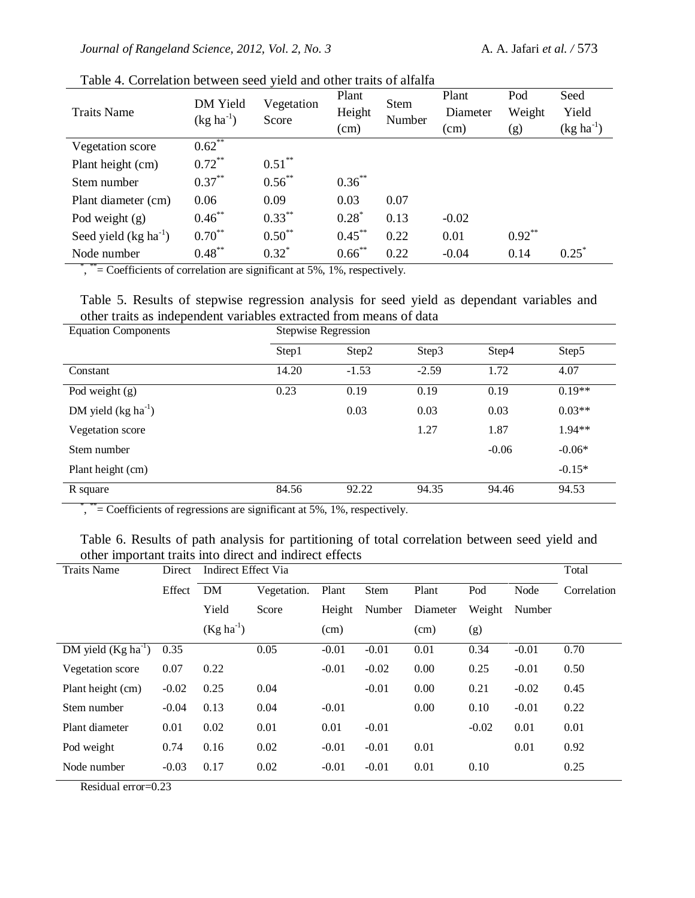| <b>Traits Name</b>     | DM Yield<br>$(kg ha^{-1})$ | Vegetation<br>Score | Plant<br>Height<br>(cm) | <b>Stem</b><br>Number | Plant<br>Diameter<br>(cm) | Pod<br>Weight<br>(g) | Seed<br>Yield<br>$(kg ha^{-1})$ |
|------------------------|----------------------------|---------------------|-------------------------|-----------------------|---------------------------|----------------------|---------------------------------|
| Vegetation score       | $0.62***$                  |                     |                         |                       |                           |                      |                                 |
| Plant height (cm)      | $0.72***$                  | $0.51***$           |                         |                       |                           |                      |                                 |
| Stem number            | $0.37***$                  | $0.56^{**}$         | $0.36^{**}$             |                       |                           |                      |                                 |
| Plant diameter (cm)    | 0.06                       | 0.09                | 0.03                    | 0.07                  |                           |                      |                                 |
| Pod weight $(g)$       | $0.46***$                  | $0.33***$           | $0.28^*$                | 0.13                  | $-0.02$                   |                      |                                 |
| Seed yield $(kg ha-1)$ | $0.70***$                  | $0.50^{**}$         | $0.45***$               | 0.22                  | 0.01                      | $0.92**$             |                                 |
| Node number            | $0.48***$                  | $0.32^*$            | $0.66$ **               | 0.22                  | $-0.04$                   | 0.14                 | $0.25^*$                        |

Table 4. Correlation between seed yield and other traits of alfalfa

\*, \*\*= Coefficients of correlation are significant at 5%, 1%, respectively.

| Table 5. Results of stepwise regression analysis for seed yield as dependant variables and |                     |  |  |  |
|--------------------------------------------------------------------------------------------|---------------------|--|--|--|
| other traits as independent variables extracted from means of data                         |                     |  |  |  |
| <b>Equation Components</b>                                                                 | Stenwise Regression |  |  |  |

| Equation Components     | Stepwise Regression |         |         |         |          |  |  |  |
|-------------------------|---------------------|---------|---------|---------|----------|--|--|--|
|                         | Step1               | Step2   | Step3   | Step4   | Step5    |  |  |  |
| Constant                | 14.20               | $-1.53$ | $-2.59$ | 1.72    | 4.07     |  |  |  |
| Pod weight $(g)$        | 0.23                | 0.19    | 0.19    | 0.19    | $0.19**$ |  |  |  |
| DM yield $(kg ha^{-1})$ |                     | 0.03    | 0.03    | 0.03    | $0.03**$ |  |  |  |
| Vegetation score        |                     |         | 1.27    | 1.87    | $1.94**$ |  |  |  |
| Stem number             |                     |         |         | $-0.06$ | $-0.06*$ |  |  |  |
| Plant height (cm)       |                     |         |         |         | $-0.15*$ |  |  |  |
| R square                | 84.56               | 92.22   | 94.35   | 94.46   | 94.53    |  |  |  |

\*, \*\*= Coefficients of regressions are significant at 5%, 1%, respectively.

|  |  | Table 6. Results of path analysis for partitioning of total correlation between seed yield and |  |  |  |  |
|--|--|------------------------------------------------------------------------------------------------|--|--|--|--|
|  |  | other important traits into direct and indirect effects                                        |  |  |  |  |

| <b>Traits Name</b>      | Direct  |                | Indirect Effect Via |         |             |          |         |         |             |  |  |
|-------------------------|---------|----------------|---------------------|---------|-------------|----------|---------|---------|-------------|--|--|
|                         | Effect  | DM             | Vegetation.         | Plant   | <b>Stem</b> | Plant    | Pod     | Node    | Correlation |  |  |
|                         |         | Yield          | Score               | Height  | Number      | Diameter | Weight  | Number  |             |  |  |
|                         |         | $(Kg ha^{-1})$ |                     | (cm)    |             | (cm)     | (g)     |         |             |  |  |
| DM yield $(Kg ha^{-1})$ | 0.35    |                | 0.05                | $-0.01$ | $-0.01$     | 0.01     | 0.34    | $-0.01$ | 0.70        |  |  |
| Vegetation score        | 0.07    | 0.22           |                     | $-0.01$ | $-0.02$     | 0.00     | 0.25    | $-0.01$ | 0.50        |  |  |
| Plant height (cm)       | $-0.02$ | 0.25           | 0.04                |         | $-0.01$     | 0.00     | 0.21    | $-0.02$ | 0.45        |  |  |
| Stem number             | $-0.04$ | 0.13           | 0.04                | $-0.01$ |             | 0.00     | 0.10    | $-0.01$ | 0.22        |  |  |
| Plant diameter          | 0.01    | 0.02           | 0.01                | 0.01    | $-0.01$     |          | $-0.02$ | 0.01    | 0.01        |  |  |
| Pod weight              | 0.74    | 0.16           | 0.02                | $-0.01$ | $-0.01$     | 0.01     |         | 0.01    | 0.92        |  |  |
| Node number             | $-0.03$ | 0.17           | 0.02                | $-0.01$ | $-0.01$     | 0.01     | 0.10    |         | 0.25        |  |  |

Residual error=0.23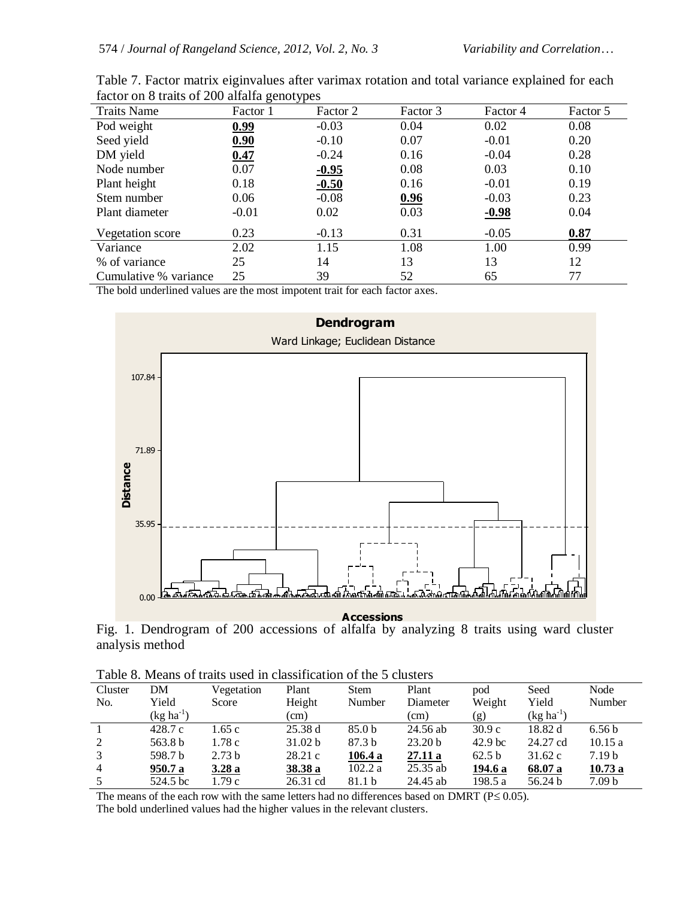| <b>Traits Name</b>    | . .<br>Factor 1 | Factor 2 | Factor 3 | Factor 4 | Factor 5 |
|-----------------------|-----------------|----------|----------|----------|----------|
| Pod weight            | 0.99            | $-0.03$  | 0.04     | 0.02     | 0.08     |
| Seed yield            | 0.90            | $-0.10$  | 0.07     | $-0.01$  | 0.20     |
| DM yield              | 0.47            | $-0.24$  | 0.16     | $-0.04$  | 0.28     |
| Node number           | 0.07            | $-0.95$  | 0.08     | 0.03     | 0.10     |
| Plant height          | 0.18            | $-0.50$  | 0.16     | $-0.01$  | 0.19     |
| Stem number           | 0.06            | $-0.08$  | 0.96     | $-0.03$  | 0.23     |
| Plant diameter        | $-0.01$         | 0.02     | 0.03     | $-0.98$  | 0.04     |
| Vegetation score      | 0.23            | $-0.13$  | 0.31     | $-0.05$  | 0.87     |
| Variance              | 2.02            | 1.15     | 1.08     | 1.00     | 0.99     |
| % of variance         | 25              | 14       | 13       | 13       | 12       |
| Cumulative % variance | 25              | 39       | 52       | 65       | 77       |

| Table 7. Factor matrix eiginvalues after varimax rotation and total variance explained for each |  |  |  |  |
|-------------------------------------------------------------------------------------------------|--|--|--|--|
| factor on 8 traits of 200 alfalfa genotypes                                                     |  |  |  |  |

The bold underlined values are the most impotent trait for each factor axes.



**Accessions**

Fig. 1. Dendrogram of 200 accessions of alfalfa by analyzing 8 traits using ward cluster analysis method

| Cluster        | DM             | Vegetation        | Plant    | <b>Stem</b>       | Plant              | pod                | Seed           | Node              |
|----------------|----------------|-------------------|----------|-------------------|--------------------|--------------------|----------------|-------------------|
| No.            | Yield          | Score             | Height   | Number            | Diameter           | Weight             | Yield          | Number            |
|                | $(kg ha^{-1})$ |                   | (cm)     |                   | (cm)               | (g)                | $(kg ha^{-1})$ |                   |
|                | 428.7c         | 1.65 c            | 25.38d   | 85.0 <sub>b</sub> | 24.56 ab           | 30.9c              | 18.82 d        | 6.56 <sub>b</sub> |
| 2              | 563.8 b        | 1.78 c            | 31.02 b  | 87.3 <sub>b</sub> | 23.20 <sub>b</sub> | 42.9 <sub>bc</sub> | 24.27 cd       | 10.15a            |
| 3              | 598.7 b        | 2.73 <sub>b</sub> | 28.21c   | 106.4 a           | 27.11a             | 62.5 b             | 31.62c         | 7.19 <sub>b</sub> |
| $\overline{4}$ | 950.7 a        | 3.28a             | 38.38 a  | 102.2 a           | $25.35$ ab         | 194.6 a            | 68.07 a        | 10.73a            |
|                | 524.5 bc       | 1.79 с            | 26.31 cd | 81.1 b            | 24.45 ab           | 198.5 a            | 56.24 b        | 7.09 <sub>b</sub> |

The means of the each row with the same letters had no differences based on DMRT ( $P \le 0.05$ ).

The bold underlined values had the higher values in the relevant clusters.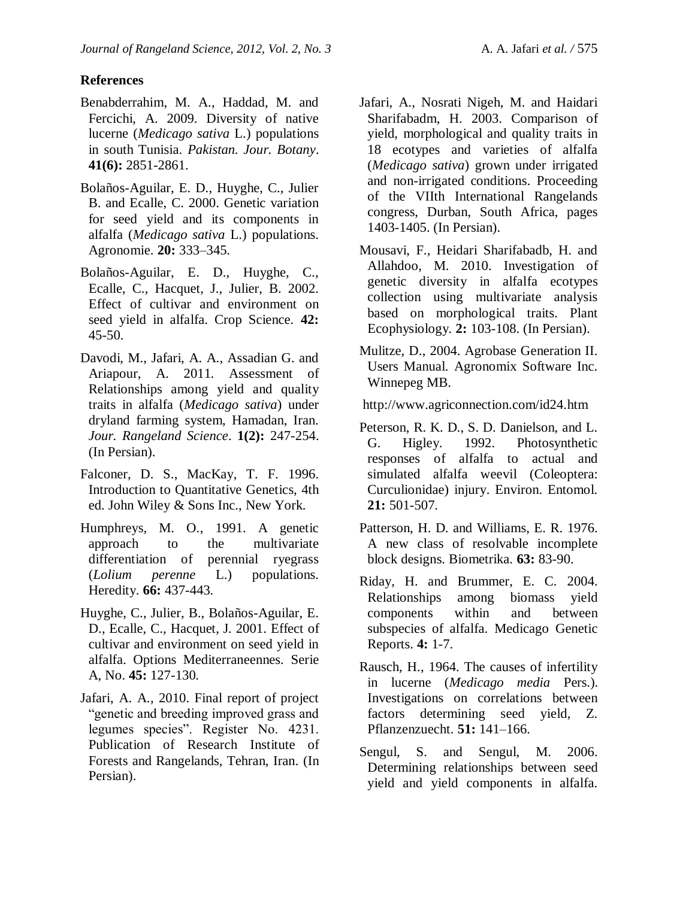## **References**

- Benabderrahim, M. A., Haddad, M. and Fercichi, A. 2009. Diversity of native lucerne (*Medicago sativa* L.) populations in south Tunisia. *Pakistan. Jour. Botany*. **41(6):** 2851-2861.
- Bolaños-Aguilar, E. D., Huyghe, C., Julier B. and Ecalle, C. 2000. Genetic variation for seed yield and its components in alfalfa (*Medicago sativa* L.) populations. Agronomie. **20:** 333–345.
- Bolaños-Aguilar, E. D., Huyghe, C., Ecalle, C., Hacquet, J., Julier, B. 2002. Effect of cultivar and environment on seed yield in alfalfa. Crop Science. **42:** 45-50.
- Davodi, M., Jafari, A. A., Assadian G. and Ariapour, A. 2011. Assessment of Relationships among yield and quality traits in alfalfa (*Medicago sativa*) under dryland farming system, Hamadan, Iran. *Jour. Rangeland Science*. **1(2):** 247-254. (In Persian).
- Falconer, D. S., MacKay, T. F. 1996. Introduction to Quantitative Genetics, 4th ed. John Wiley & Sons Inc., New York.
- Humphreys, M. O., 1991. A genetic approach to the multivariate differentiation of perennial ryegrass (*Lolium perenne* L.) populations. Heredity. **66:** 437-443.
- Huyghe, C., Julier, B., Bolaños-Aguilar, E. D., Ecalle, C., Hacquet, J. 2001. Effect of cultivar and environment on seed yield in alfalfa. Options Mediterraneennes. Serie A, No. **45:** 127-130.
- Jafari, A. A., 2010. Final report of project "genetic and breeding improved grass and legumes species". Register No. 4231. Publication of Research Institute of Forests and Rangelands, Tehran, Iran. (In Persian).
- Jafari, A., Nosrati Nigeh, M. and Haidari Sharifabadm, H. 2003. Comparison of yield, morphological and quality traits in 18 ecotypes and varieties of alfalfa (*Medicago sativa*) grown under irrigated and non-irrigated conditions. Proceeding of the VIIth International Rangelands congress, Durban, South Africa, pages 1403-1405. (In Persian).
- Mousavi, F., Heidari Sharifabadb, H. and Allahdoo, M. 2010. Investigation of genetic diversity in alfalfa ecotypes collection using multivariate analysis based on morphological traits. Plant Ecophysiology. **2:** 103-108. (In Persian).
- Mulitze, D., 2004. Agrobase Generation II. Users Manual. Agronomix Software Inc. Winnepeg MB.

http://www.agriconnection.com/id24.htm

- Peterson, R. K. D., S. D. Danielson, and L. G. Higley. 1992. Photosynthetic responses of alfalfa to actual and simulated alfalfa weevil (Coleoptera: Curculionidae) injury. Environ. Entomol. **21:** 501-507.
- Patterson, H. D. and Williams, E. R. 1976. A new class of resolvable incomplete block designs. Biometrika. **63:** 83-90.
- Riday, H. and Brummer, E. C. 2004. Relationships among biomass yield components within and between subspecies of alfalfa. Medicago Genetic Reports. **4:** 1-7.
- Rausch, H., 1964. The causes of infertility in lucerne (*Medicago media* Pers.). Investigations on correlations between factors determining seed yield, Z. Pflanzenzuecht. **51:** 141–166.
- [Sengul, S. a](http://ascidatabase.com/author.php?author=Suleyman%20Sengul&last=)nd [Sengul, M](http://ascidatabase.com/author.php?author=Meryem%20Sengul&last=). 2006. Determining relationships between seed yield and yield components in alfalfa.